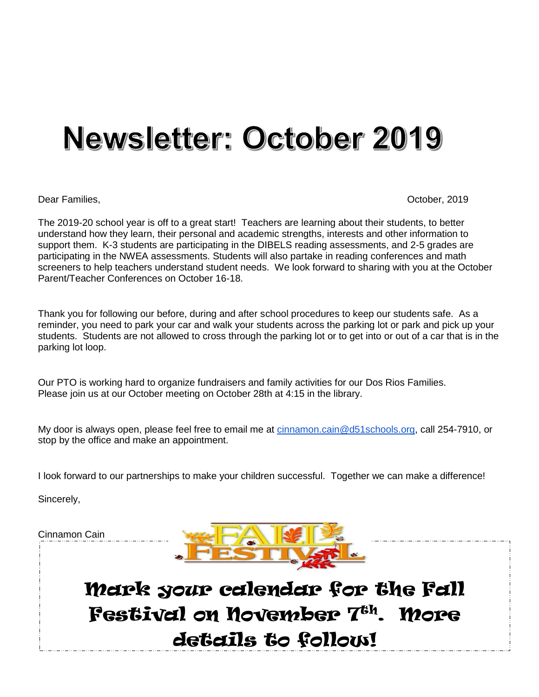# Newsletter: October 2019

Dear Families, October, 2019

The 2019-20 school year is off to a great start! Teachers are learning about their students, to better understand how they learn, their personal and academic strengths, interests and other information to support them. K-3 students are participating in the DIBELS reading assessments, and 2-5 grades are participating in the NWEA assessments. Students will also partake in reading conferences and math screeners to help teachers understand student needs. We look forward to sharing with you at the October Parent/Teacher Conferences on October 16-18.

Thank you for following our before, during and after school procedures to keep our students safe. As a reminder, you need to park your car and walk your students across the parking lot or park and pick up your students. Students are not allowed to cross through the parking lot or to get into or out of a car that is in the parking lot loop.

Our PTO is working hard to organize fundraisers and family activities for our Dos Rios Families. Please join us at our October meeting on October 28th at 4:15 in the library.

My door is always open, please feel free to email me at [cinnamon.cain@d51schools.org,](mailto:cinnamon.cain@d51schools.org) call 254-7910, or stop by the office and make an appointment.

I look forward to our partnerships to make your children successful. Together we can make a difference!

Sincerely,

Cinnamon Cain



Mark your calendar for the Fall Festival on November 7<sup>th</sup>. More details to follow!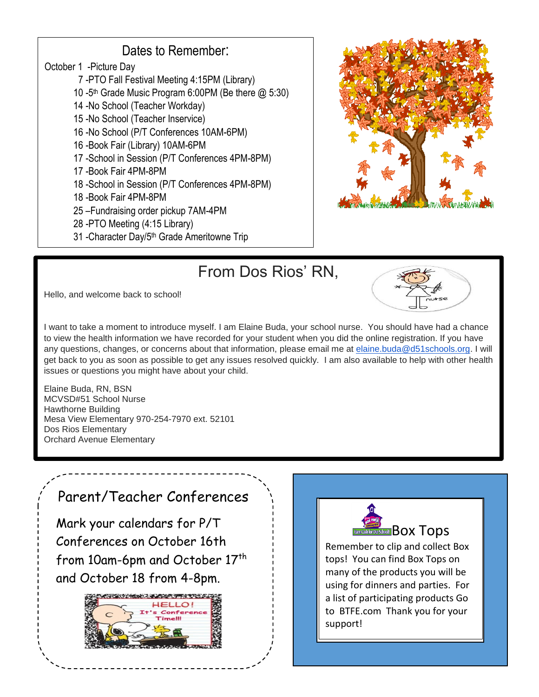#### Dates to Remember:

- October 1 -Picture Day
	- 7 -PTO Fall Festival Meeting 4:15PM (Library)
- 10 -5 th Grade Music Program 6:00PM (Be there @ 5:30)
	- 14 -No School (Teacher Workday)
	- 15 -No School (Teacher Inservice)
	- 16 -No School (P/T Conferences 10AM-6PM)
	- 16 -Book Fair (Library) 10AM-6PM
	- 17 -School in Session (P/T Conferences 4PM-8PM)
	- 17 -Book Fair 4PM-8PM
	- 18 -School in Session (P/T Conferences 4PM-8PM)
	- 18 -Book Fair 4PM-8PM
	- 25 –Fundraising order pickup 7AM-4PM
	- 28 -PTO Meeting (4:15 Library)
	- 31 -Character Day/5th Grade Ameritowne Trip



### From Dos Rios' RN,

Hello, and welcome back to school!



I want to take a moment to introduce myself. I am Elaine Buda, your school nurse. You should have had a chance to view the health information we have recorded for your student when you did the online registration. If you have any questions, changes, or concerns about that information, please email me at [elaine.buda@d51schools.org.](mailto:elaine.buda@d51schools.org) I will get back to you as soon as possible to get any issues resolved quickly. I am also available to help with other health issues or questions you might have about your child.

Elaine Buda, RN, BSN MCVSD#51 School Nurse Hawthorne Building Mesa View Elementary 970-254-7970 ext. 52101 Dos Rios Elementary Orchard Avenue Elementary

#### Parent/Teacher Conferences

Mark your calendars for P/T Conferences on October 16th from 10am-6pm and October 17<sup>th</sup> and October 18 from 4-8pm.





Remember to clip and collect Box tops! You can find Box Tops on many of the products you will be using for dinners and parties. For a list of participating products Go to BTFE.com Thank you for your support!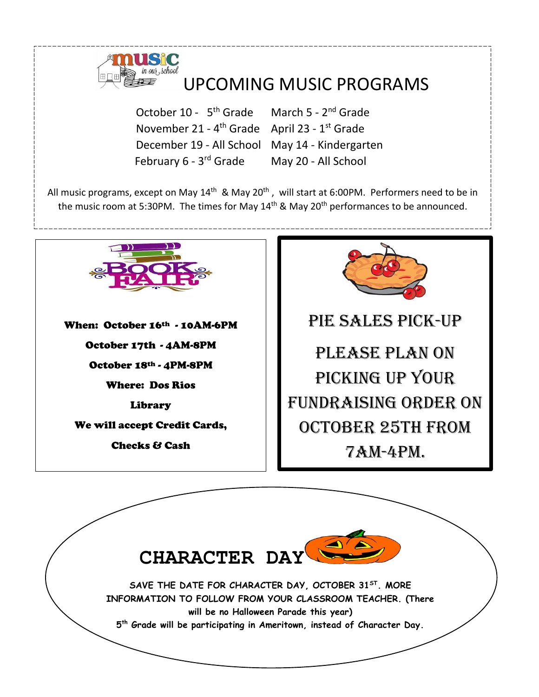

## UPCOMING MUSIC PROGRAMS

October 10 - 5<sup>th</sup> Grade March 5 - 2<sup>nd</sup> Grade November 21 - 4<sup>th</sup> Grade April 23 - 1<sup>st</sup> Grade December 19 - All School May 14 - Kindergarten February 6 - 3rd Grade

May 20 - All School

All music programs, except on May 14<sup>th</sup> & May 20<sup>th</sup>, will start at 6:00PM. Performers need to be in the music room at 5:30PM. The times for May 14<sup>th</sup> & May 20<sup>th</sup> performances to be announced.



**CHARACTER DAY SAVE THE DATE FOR CHARACTER DAY, OCTOBER 31ST. MORE INFORMATION TO FOLLOW FROM YOUR CLASSROOM TEACHER. (There will be no Halloween Parade this year) 5 th Grade will be participating in Ameritown, instead of Character Day.**